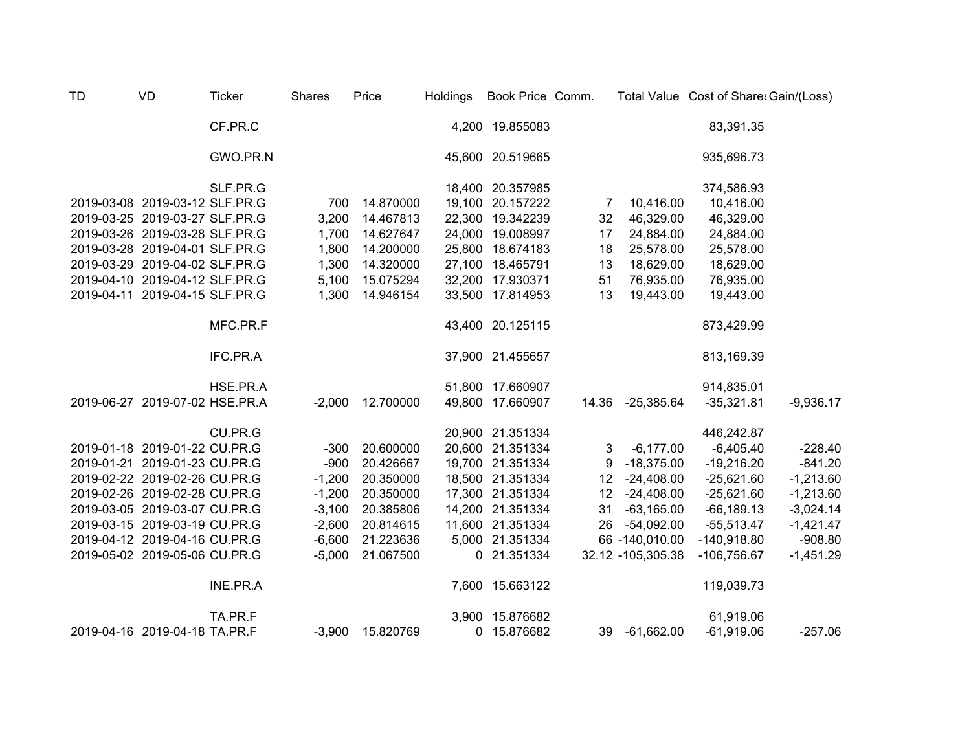| <b>TD</b> | VD                             | <b>Ticker</b> | <b>Shares</b> | Price     | <b>Holdings</b> | Book Price Comm. |                 |                   | Total Value Cost of Share: Gain/(Loss) |             |
|-----------|--------------------------------|---------------|---------------|-----------|-----------------|------------------|-----------------|-------------------|----------------------------------------|-------------|
|           |                                | CF.PR.C       |               |           |                 | 4,200 19.855083  |                 |                   | 83,391.35                              |             |
|           |                                | GWO.PR.N      |               |           |                 | 45,600 20.519665 |                 |                   | 935,696.73                             |             |
|           |                                | SLF.PR.G      |               |           |                 | 18,400 20.357985 |                 |                   | 374,586.93                             |             |
|           | 2019-03-08 2019-03-12 SLF.PR.G |               | 700           | 14.870000 |                 | 19,100 20.157222 | 7               | 10,416.00         | 10,416.00                              |             |
|           | 2019-03-25 2019-03-27 SLF.PR.G |               | 3,200         | 14.467813 |                 | 22,300 19.342239 | 32              | 46,329.00         | 46,329.00                              |             |
|           | 2019-03-26 2019-03-28 SLF.PR.G |               | 1,700         | 14.627647 |                 | 24,000 19.008997 | 17              | 24,884.00         | 24,884.00                              |             |
|           | 2019-03-28 2019-04-01 SLF.PR.G |               | 1,800         | 14.200000 |                 | 25,800 18.674183 | 18              | 25,578.00         | 25,578.00                              |             |
|           | 2019-03-29 2019-04-02 SLF.PR.G |               | 1,300         | 14.320000 |                 | 27,100 18.465791 | 13              | 18,629.00         | 18,629.00                              |             |
|           | 2019-04-10 2019-04-12 SLF.PR.G |               | 5,100         | 15.075294 |                 | 32,200 17.930371 | 51              | 76,935.00         | 76,935.00                              |             |
|           | 2019-04-11 2019-04-15 SLF.PR.G |               | 1,300         | 14.946154 |                 | 33,500 17.814953 | 13              | 19,443.00         | 19,443.00                              |             |
|           |                                | MFC.PR.F      |               |           |                 | 43,400 20.125115 |                 |                   | 873,429.99                             |             |
|           |                                | IFC.PR.A      |               |           |                 | 37,900 21.455657 |                 |                   | 813,169.39                             |             |
|           |                                | HSE.PR.A      |               |           |                 | 51,800 17.660907 |                 |                   | 914,835.01                             |             |
|           | 2019-06-27 2019-07-02 HSE.PR.A |               | $-2,000$      | 12.700000 |                 | 49,800 17.660907 | 14.36           | $-25,385.64$      | $-35,321.81$                           | $-9,936.17$ |
|           |                                | CU.PR.G       |               |           |                 | 20,900 21.351334 |                 |                   | 446,242.87                             |             |
|           | 2019-01-18 2019-01-22 CU.PR.G  |               | $-300$        | 20.600000 |                 | 20,600 21.351334 | 3               | $-6,177.00$       | $-6,405.40$                            | $-228.40$   |
|           | 2019-01-21 2019-01-23 CU.PR.G  |               | $-900$        | 20.426667 |                 | 19,700 21.351334 | 9               | $-18,375.00$      | $-19,216.20$                           | $-841.20$   |
|           | 2019-02-22 2019-02-26 CU.PR.G  |               | $-1,200$      | 20.350000 |                 | 18,500 21.351334 | 12              | $-24,408.00$      | $-25,621.60$                           | $-1,213.60$ |
|           | 2019-02-26 2019-02-28 CU.PR.G  |               | $-1,200$      | 20.350000 |                 | 17,300 21.351334 | 12 <sup>°</sup> | $-24,408.00$      | $-25,621.60$                           | $-1,213.60$ |
|           | 2019-03-05 2019-03-07 CU.PR.G  |               | $-3,100$      | 20.385806 |                 | 14,200 21.351334 | 31              | $-63,165.00$      | $-66, 189.13$                          | $-3,024.14$ |
|           | 2019-03-15 2019-03-19 CU.PR.G  |               | $-2,600$      | 20.814615 | 11,600          | 21.351334        | 26              | $-54,092.00$      | $-55,513.47$                           | $-1,421.47$ |
|           | 2019-04-12 2019-04-16 CU.PR.G  |               | $-6,600$      | 21.223636 |                 | 5,000 21.351334  |                 | 66 -140,010.00    | $-140,918.80$                          | $-908.80$   |
|           | 2019-05-02 2019-05-06 CU.PR.G  |               | $-5,000$      | 21.067500 | $\mathbf 0$     | 21.351334        |                 | 32.12 -105,305.38 | -106,756.67                            | $-1,451.29$ |
|           |                                | INE.PR.A      |               |           |                 | 7,600 15.663122  |                 |                   | 119,039.73                             |             |
|           |                                | TA.PR.F       |               |           |                 | 3,900 15.876682  |                 |                   | 61,919.06                              |             |
|           | 2019-04-16 2019-04-18 TA.PR.F  |               | $-3,900$      | 15.820769 |                 | 0 15.876682      | 39              | $-61,662.00$      | $-61,919.06$                           | $-257.06$   |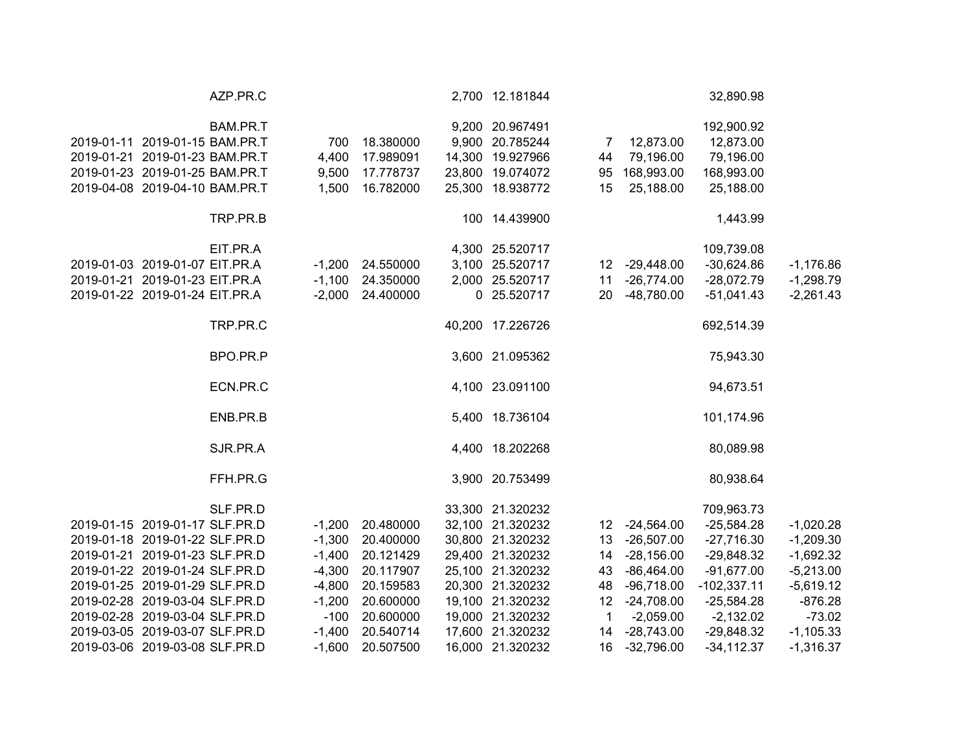|                                | AZP.PR.C |          |                    | 2,700 12.181844                    |             |               | 32,890.98               |             |
|--------------------------------|----------|----------|--------------------|------------------------------------|-------------|---------------|-------------------------|-------------|
| 2019-01-11 2019-01-15 BAM.PR.T | BAM.PR.T | 700      | 18.380000          | 9,200 20.967491<br>9,900 20.785244 |             | 7 12,873.00   | 192,900.92<br>12,873.00 |             |
| 2019-01-21 2019-01-23 BAM.PR.T |          | 4,400    | 17.989091          | 14,300 19.927966                   | 44          | 79,196.00     | 79,196.00               |             |
| 2019-01-23 2019-01-25 BAM.PR.T |          | 9,500    | 17.778737          | 23,800 19.074072                   | 95          | 168,993.00    | 168,993.00              |             |
| 2019-04-08 2019-04-10 BAM.PR.T |          | 1,500    | 16.782000          | 25,300 18.938772                   | 15          | 25,188.00     | 25,188.00               |             |
|                                | TRP.PR.B |          |                    | 100 14.439900                      |             |               | 1,443.99                |             |
|                                | EIT.PR.A |          |                    | 4,300 25.520717                    |             |               | 109,739.08              |             |
| 2019-01-03 2019-01-07 EIT.PR.A |          |          | $-1,200$ 24.550000 | 3,100 25.520717                    |             | 12 -29,448.00 | $-30,624.86$            | $-1,176.86$ |
| 2019-01-21 2019-01-23 EIT.PR.A |          |          | $-1,100$ 24.350000 | 2,000 25.520717                    | 11          | $-26,774.00$  | $-28,072.79$            | $-1,298.79$ |
| 2019-01-22 2019-01-24 EIT.PR.A |          |          | $-2,000$ 24.400000 | 0 25.520717                        | 20          | $-48,780.00$  | $-51,041.43$            | $-2,261.43$ |
|                                | TRP.PR.C |          |                    | 40,200 17.226726                   |             |               | 692,514.39              |             |
|                                | BPO.PR.P |          |                    | 3,600 21.095362                    |             |               | 75,943.30               |             |
|                                | ECN.PR.C |          |                    | 4,100 23.091100                    |             |               | 94,673.51               |             |
|                                | ENB.PR.B |          |                    | 5,400 18.736104                    |             |               | 101,174.96              |             |
|                                | SJR.PR.A |          |                    | 4,400 18.202268                    |             |               | 80,089.98               |             |
|                                | FFH.PR.G |          |                    | 3,900 20.753499                    |             |               | 80,938.64               |             |
|                                | SLF.PR.D |          |                    | 33,300 21.320232                   |             |               | 709,963.73              |             |
| 2019-01-15 2019-01-17 SLF.PR.D |          |          | $-1,200$ 20.480000 | 32,100 21.320232                   |             | 12 -24,564.00 | $-25,584.28$            | $-1,020.28$ |
| 2019-01-18 2019-01-22 SLF.PR.D |          |          | $-1,300$ 20.400000 | 30,800 21.320232                   |             | 13 -26,507.00 | $-27,716.30$            | $-1,209.30$ |
| 2019-01-21 2019-01-23 SLF.PR.D |          |          | $-1,400$ 20.121429 | 29,400 21.320232                   |             | 14 -28,156.00 | $-29,848.32$            | $-1,692.32$ |
| 2019-01-22 2019-01-24 SLF.PR.D |          |          | -4,300 20.117907   | 25,100 21.320232                   | 43          | $-86,464.00$  | $-91,677.00$            | $-5,213.00$ |
| 2019-01-25 2019-01-29 SLF.PR.D |          |          | -4,800 20.159583   | 20,300 21.320232                   | 48          | -96,718.00    | $-102,337.11$           | $-5,619.12$ |
| 2019-02-28 2019-03-04 SLF.PR.D |          | $-1,200$ | 20.600000          | 19,100 21.320232                   | 12          | $-24,708.00$  | $-25,584.28$            | $-876.28$   |
| 2019-02-28 2019-03-04 SLF.PR.D |          | $-100$   | 20.600000          | 19,000 21.320232                   | $\mathbf 1$ | $-2,059.00$   | $-2,132.02$             | $-73.02$    |
| 2019-03-05 2019-03-07 SLF.PR.D |          | $-1,400$ | 20.540714          | 17,600 21.320232                   | 14          | -28,743.00    | $-29,848.32$            | $-1,105.33$ |
| 2019-03-06 2019-03-08 SLF.PR.D |          | $-1,600$ | 20.507500          | 16,000 21.320232                   | 16          | $-32,796.00$  | $-34, 112.37$           | $-1,316.37$ |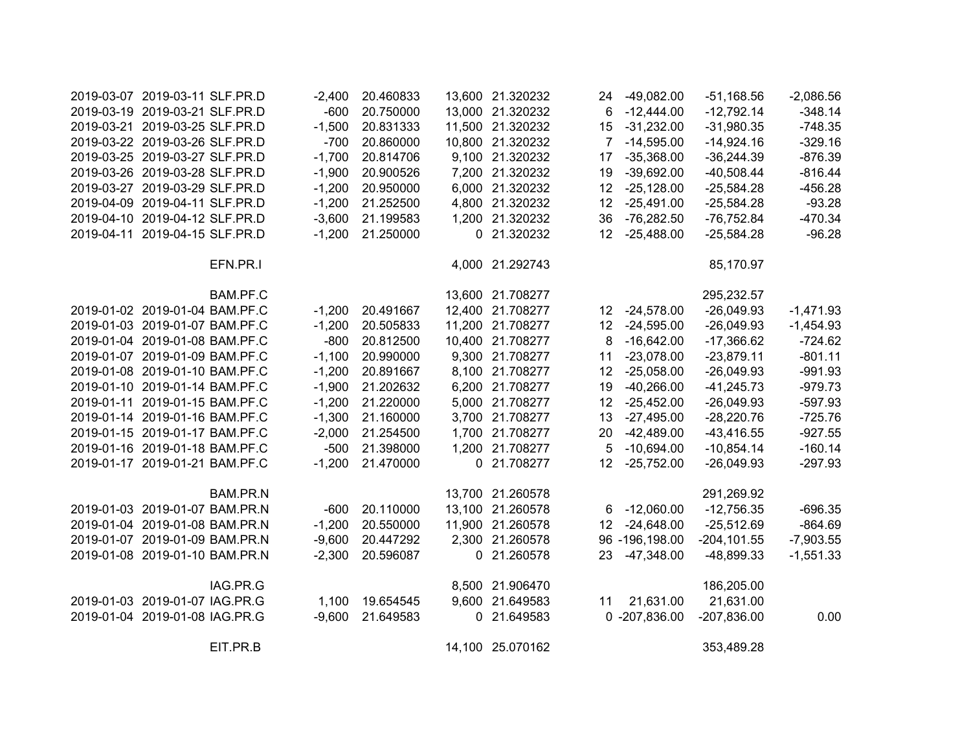| 2019-03-07 2019-03-11 SLF.PR.D |          | $-2,400$ | 20.460833 |        | 13,600 21.320232 | 24              | $-49,082.00$   | $-51,168.56$   | $-2,086.56$ |
|--------------------------------|----------|----------|-----------|--------|------------------|-----------------|----------------|----------------|-------------|
| 2019-03-19 2019-03-21 SLF.PR.D |          | $-600$   | 20.750000 |        | 13,000 21.320232 | 6               | $-12,444.00$   | $-12,792.14$   | $-348.14$   |
| 2019-03-21 2019-03-25 SLF.PR.D |          | $-1,500$ | 20.831333 | 11,500 | 21.320232        | 15              | $-31,232.00$   | $-31,980.35$   | $-748.35$   |
| 2019-03-22 2019-03-26 SLF.PR.D |          | $-700$   | 20.860000 | 10,800 | 21.320232        | $\overline{7}$  | $-14,595.00$   | $-14,924.16$   | $-329.16$   |
| 2019-03-25 2019-03-27 SLF.PR.D |          | $-1,700$ | 20.814706 | 9,100  | 21.320232        | 17              | $-35,368.00$   | $-36,244.39$   | $-876.39$   |
| 2019-03-26 2019-03-28 SLF.PR.D |          | $-1,900$ | 20.900526 | 7,200  | 21.320232        | 19              | $-39,692.00$   | $-40,508.44$   | $-816.44$   |
| 2019-03-27 2019-03-29 SLF.PR.D |          | $-1,200$ | 20.950000 | 6,000  | 21.320232        | 12              | $-25,128.00$   | $-25,584.28$   | $-456.28$   |
| 2019-04-09 2019-04-11 SLF.PR.D |          | $-1,200$ | 21.252500 | 4,800  | 21.320232        | 12              | $-25,491.00$   | $-25,584.28$   | $-93.28$    |
| 2019-04-10 2019-04-12 SLF.PR.D |          | $-3,600$ | 21.199583 | 1,200  | 21.320232        | 36              | $-76,282.50$   | $-76,752.84$   | $-470.34$   |
| 2019-04-11 2019-04-15 SLF.PR.D |          | $-1,200$ | 21.250000 |        | 0 21.320232      | 12              | $-25,488.00$   | $-25,584.28$   | $-96.28$    |
|                                | EFN.PR.I |          |           |        | 4,000 21.292743  |                 |                | 85,170.97      |             |
|                                | BAM.PF.C |          |           |        | 13,600 21.708277 |                 |                | 295,232.57     |             |
| 2019-01-02 2019-01-04 BAM.PF.C |          | $-1,200$ | 20.491667 |        | 12,400 21.708277 | 12 <sup>2</sup> | $-24,578.00$   | $-26,049.93$   | $-1,471.93$ |
| 2019-01-03 2019-01-07 BAM.PF.C |          | $-1,200$ | 20.505833 |        | 11,200 21.708277 | 12 <sup>2</sup> | $-24,595.00$   | $-26,049.93$   | $-1,454.93$ |
| 2019-01-04 2019-01-08 BAM.PF.C |          | $-800$   | 20.812500 |        | 10,400 21.708277 | 8               | $-16,642.00$   | $-17,366.62$   | $-724.62$   |
| 2019-01-07 2019-01-09 BAM.PF.C |          | $-1,100$ | 20.990000 |        | 9,300 21.708277  | 11              | $-23,078.00$   | $-23,879.11$   | $-801.11$   |
| 2019-01-08 2019-01-10 BAM.PF.C |          | $-1,200$ | 20.891667 |        | 8,100 21.708277  | 12 <sup>°</sup> | $-25,058.00$   | $-26,049.93$   | $-991.93$   |
| 2019-01-10 2019-01-14 BAM.PF.C |          | $-1,900$ | 21.202632 |        | 6,200 21.708277  | 19              | $-40,266.00$   | $-41,245.73$   | $-979.73$   |
| 2019-01-11 2019-01-15 BAM.PF.C |          | $-1,200$ | 21.220000 |        | 5,000 21.708277  | 12 <sub>2</sub> | $-25,452.00$   | $-26,049.93$   | $-597.93$   |
| 2019-01-14 2019-01-16 BAM.PF.C |          | $-1,300$ | 21.160000 |        | 3,700 21.708277  | 13              | $-27,495.00$   | $-28,220.76$   | $-725.76$   |
| 2019-01-15 2019-01-17 BAM.PF.C |          | $-2,000$ | 21.254500 |        | 1,700 21.708277  | 20              | $-42,489.00$   | $-43,416.55$   | $-927.55$   |
| 2019-01-16 2019-01-18 BAM.PF.C |          | $-500$   | 21.398000 |        | 1,200 21.708277  | 5               | $-10,694.00$   | $-10,854.14$   | $-160.14$   |
| 2019-01-17 2019-01-21 BAM.PF.C |          | $-1,200$ | 21.470000 |        | 0 21.708277      | 12 <sup>°</sup> | $-25,752.00$   | $-26,049.93$   | $-297.93$   |
|                                | BAM.PR.N |          |           |        | 13,700 21.260578 |                 |                | 291,269.92     |             |
| 2019-01-03 2019-01-07 BAM.PR.N |          | $-600$   | 20.110000 |        | 13,100 21.260578 |                 | 6 -12,060.00   | $-12,756.35$   | $-696.35$   |
| 2019-01-04 2019-01-08 BAM.PR.N |          | $-1,200$ | 20.550000 |        | 11,900 21.260578 | 12 <sup>°</sup> | $-24,648.00$   | $-25,512.69$   | $-864.69$   |
| 2019-01-07 2019-01-09 BAM.PR.N |          | $-9,600$ | 20.447292 |        | 2,300 21.260578  |                 | 96 -196,198.00 | $-204, 101.55$ | $-7,903.55$ |
| 2019-01-08 2019-01-10 BAM.PR.N |          | $-2,300$ | 20.596087 |        | 0 21.260578      | 23              | $-47,348.00$   | -48,899.33     | $-1,551.33$ |
|                                | IAG.PR.G |          |           |        | 8,500 21.906470  |                 |                | 186,205.00     |             |
| 2019-01-03 2019-01-07 IAG.PR.G |          | 1,100    | 19.654545 |        | 9,600 21.649583  | 11              | 21,631.00      | 21,631.00      |             |
| 2019-01-04 2019-01-08 IAG.PR.G |          | $-9,600$ | 21.649583 |        | 0 21.649583      |                 | 0 -207,836.00  | $-207,836.00$  | 0.00        |
|                                | EIT.PR.B |          |           |        | 14,100 25.070162 |                 |                | 353,489.28     |             |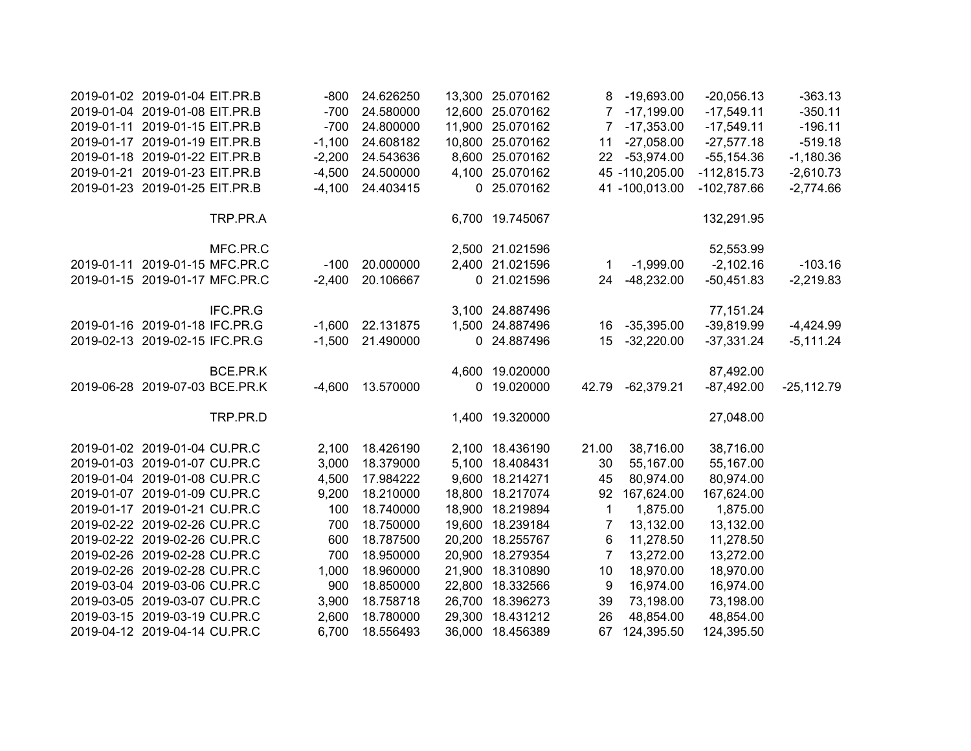| 2019-01-02 2019-01-04 EIT.PR.B |          | $-800$   | 24.626250 |        | 13,300 25.070162 |                | 8 -19,693.00   | $-20,056.13$  | $-363.13$    |
|--------------------------------|----------|----------|-----------|--------|------------------|----------------|----------------|---------------|--------------|
| 2019-01-04 2019-01-08 EIT.PR.B |          | $-700$   | 24.580000 |        | 12,600 25.070162 |                | 7 -17,199.00   | $-17,549.11$  | $-350.11$    |
| 2019-01-11 2019-01-15 EIT.PR.B |          | $-700$   | 24.800000 |        | 11,900 25.070162 |                | 7 -17,353.00   | $-17,549.11$  | $-196.11$    |
| 2019-01-17 2019-01-19 EIT.PR.B |          | $-1,100$ | 24.608182 |        | 10,800 25.070162 | 11             | $-27,058.00$   | $-27,577.18$  | $-519.18$    |
| 2019-01-18 2019-01-22 EIT.PR.B |          | $-2,200$ | 24.543636 |        | 8,600 25.070162  | 22             | $-53,974.00$   | $-55, 154.36$ | $-1,180.36$  |
| 2019-01-21 2019-01-23 EIT.PR.B |          | $-4,500$ | 24.500000 |        | 4,100 25.070162  |                | 45 -110,205.00 | $-112,815.73$ | $-2,610.73$  |
| 2019-01-23 2019-01-25 EIT.PR.B |          | $-4,100$ | 24.403415 |        | 0 25.070162      |                | 41 -100,013.00 | $-102,787.66$ | $-2,774.66$  |
|                                | TRP.PR.A |          |           |        | 6,700 19.745067  |                |                | 132,291.95    |              |
|                                | MFC.PR.C |          |           |        | 2,500 21.021596  |                |                | 52,553.99     |              |
| 2019-01-11 2019-01-15 MFC.PR.C |          | $-100$   | 20.000000 |        | 2,400 21.021596  | 1              | $-1,999.00$    | $-2,102.16$   | $-103.16$    |
| 2019-01-15 2019-01-17 MFC.PR.C |          | $-2,400$ | 20.106667 |        | 0 21.021596      | 24             | $-48,232.00$   | $-50,451.83$  | $-2,219.83$  |
|                                | IFC.PR.G |          |           |        | 3,100 24.887496  |                |                | 77,151.24     |              |
| 2019-01-16 2019-01-18 IFC.PR.G |          | $-1,600$ | 22.131875 |        | 1,500 24.887496  | 16             | $-35,395.00$   | $-39,819.99$  | $-4,424.99$  |
| 2019-02-13 2019-02-15 IFC.PR.G |          | $-1,500$ | 21.490000 |        | 0 24.887496      | 15             | $-32,220.00$   | $-37,331.24$  | $-5,111.24$  |
|                                | BCE.PR.K |          |           |        | 4,600 19.020000  |                |                | 87,492.00     |              |
| 2019-06-28 2019-07-03 BCE.PR.K |          | $-4,600$ | 13.570000 |        | 0 19.020000      | 42.79          | $-62,379.21$   | $-87,492.00$  | $-25,112.79$ |
|                                | TRP.PR.D |          |           |        | 1,400 19.320000  |                |                | 27,048.00     |              |
| 2019-01-02 2019-01-04 CU.PR.C  |          | 2,100    | 18.426190 |        | 2,100 18.436190  | 21.00          | 38,716.00      | 38,716.00     |              |
| 2019-01-03 2019-01-07 CU.PR.C  |          | 3,000    | 18.379000 |        | 5,100 18.408431  | 30             | 55,167.00      | 55,167.00     |              |
| 2019-01-04 2019-01-08 CU.PR.C  |          | 4,500    | 17.984222 |        | 9,600 18.214271  | 45             | 80,974.00      | 80,974.00     |              |
| 2019-01-07 2019-01-09 CU.PR.C  |          | 9,200    | 18.210000 |        | 18,800 18.217074 | 92             | 167,624.00     | 167,624.00    |              |
| 2019-01-17 2019-01-21 CU.PR.C  |          | 100      | 18.740000 |        | 18,900 18.219894 | $\mathbf 1$    | 1,875.00       | 1,875.00      |              |
| 2019-02-22 2019-02-26 CU.PR.C  |          | 700      | 18.750000 |        | 19,600 18.239184 | $\overline{7}$ | 13,132.00      | 13,132.00     |              |
| 2019-02-22 2019-02-26 CU.PR.C  |          | 600      | 18.787500 | 20,200 | 18.255767        | 6              | 11,278.50      | 11,278.50     |              |
| 2019-02-26 2019-02-28 CU.PR.C  |          | 700      | 18.950000 |        | 20,900 18.279354 | $\overline{7}$ | 13,272.00      | 13,272.00     |              |
| 2019-02-26 2019-02-28 CU.PR.C  |          | 1,000    | 18.960000 | 21,900 | 18.310890        | 10             | 18,970.00      | 18,970.00     |              |
| 2019-03-04 2019-03-06 CU.PR.C  |          | 900      | 18.850000 | 22,800 | 18.332566        | 9              | 16,974.00      | 16,974.00     |              |
| 2019-03-05 2019-03-07 CU.PR.C  |          | 3,900    | 18.758718 |        | 26,700 18.396273 | 39             | 73,198.00      | 73,198.00     |              |
| 2019-03-15 2019-03-19 CU.PR.C  |          | 2,600    | 18.780000 |        | 29,300 18.431212 | 26             | 48,854.00      | 48,854.00     |              |
| 2019-04-12 2019-04-14 CU.PR.C  |          | 6,700    | 18.556493 | 36,000 | 18.456389        | 67             | 124,395.50     | 124,395.50    |              |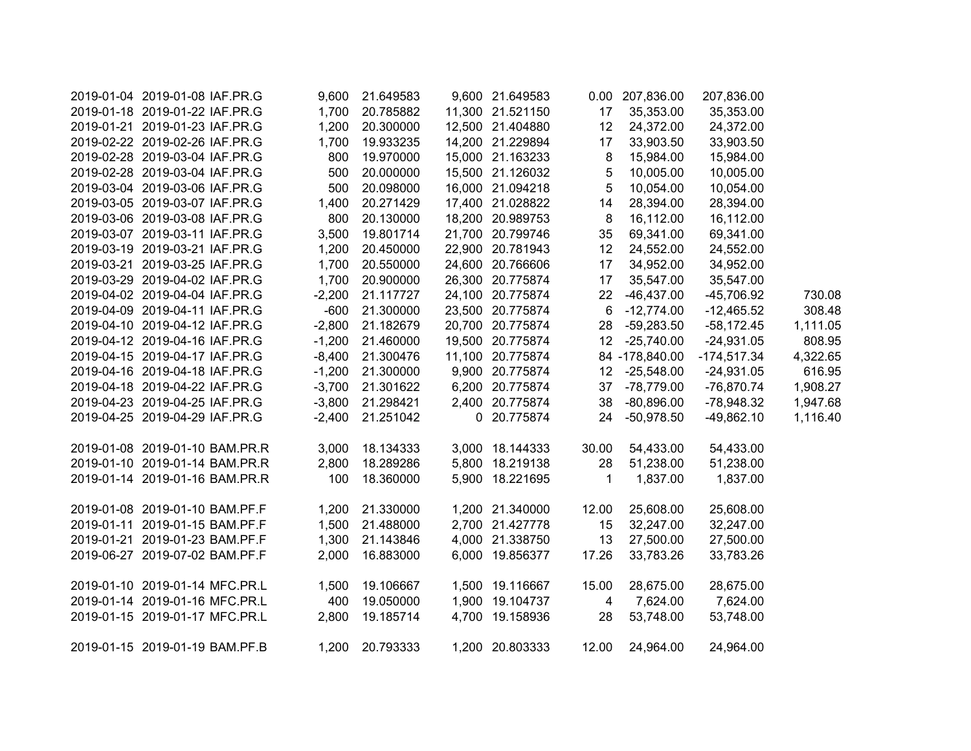| 2019-01-04 2019-01-08 IAF.PR.G | 9,600    | 21.649583          | 9,600 21.649583  |              | 0.00 207,836.00 | 207,836.00    |          |
|--------------------------------|----------|--------------------|------------------|--------------|-----------------|---------------|----------|
| 2019-01-18 2019-01-22 IAF.PR.G | 1,700    | 20.785882          | 11,300 21.521150 | 17           | 35,353.00       | 35,353.00     |          |
| 2019-01-21 2019-01-23 IAF.PR.G | 1,200    | 20.300000          | 12,500 21.404880 | 12           | 24,372.00       | 24,372.00     |          |
| 2019-02-22 2019-02-26 IAF.PR.G | 1,700    | 19.933235          | 14,200 21.229894 | 17           | 33,903.50       | 33,903.50     |          |
| 2019-02-28 2019-03-04 IAF.PR.G | 800      | 19.970000          | 15,000 21.163233 | 8            | 15,984.00       | 15,984.00     |          |
| 2019-02-28 2019-03-04 IAF.PR.G | 500      | 20.000000          | 15,500 21.126032 | 5            | 10,005.00       | 10,005.00     |          |
| 2019-03-04 2019-03-06 IAF.PR.G | 500      | 20.098000          | 16,000 21.094218 | 5            | 10,054.00       | 10,054.00     |          |
| 2019-03-05 2019-03-07 IAF.PR.G | 1,400    | 20.271429          | 17,400 21.028822 | 14           | 28,394.00       | 28,394.00     |          |
| 2019-03-06 2019-03-08 IAF.PR.G | 800      | 20.130000          | 18,200 20.989753 | 8            | 16,112.00       | 16,112.00     |          |
| 2019-03-07 2019-03-11 IAF.PR.G | 3,500    | 19.801714          | 21,700 20.799746 | 35           | 69,341.00       | 69,341.00     |          |
| 2019-03-19 2019-03-21 IAF.PR.G | 1,200    | 20.450000          | 22,900 20.781943 | 12           | 24,552.00       | 24,552.00     |          |
| 2019-03-21 2019-03-25 IAF.PR.G | 1,700    | 20.550000          | 24,600 20.766606 | 17           | 34,952.00       | 34,952.00     |          |
| 2019-03-29 2019-04-02 IAF.PR.G | 1,700    | 20.900000          | 26,300 20.775874 | 17           | 35,547.00       | 35,547.00     |          |
| 2019-04-02 2019-04-04 IAF.PR.G | $-2,200$ | 21.117727          | 24,100 20.775874 | 22           | $-46,437.00$    | -45,706.92    | 730.08   |
| 2019-04-09 2019-04-11 IAF.PR.G | $-600$   | 21.300000          | 23,500 20.775874 | 6            | $-12,774.00$    | $-12,465.52$  | 308.48   |
| 2019-04-10 2019-04-12 IAF.PR.G | $-2,800$ | 21.182679          | 20,700 20.775874 | 28           | $-59,283.50$    | $-58,172.45$  | 1,111.05 |
| 2019-04-12 2019-04-16 IAF.PR.G | $-1,200$ | 21.460000          | 19,500 20.775874 | 12           | $-25,740.00$    | $-24,931.05$  | 808.95   |
| 2019-04-15 2019-04-17 IAF.PR.G | $-8,400$ | 21.300476          | 11,100 20.775874 |              | 84 -178,840.00  | $-174,517.34$ | 4,322.65 |
| 2019-04-16 2019-04-18 IAF.PR.G | $-1,200$ | 21.300000          | 9,900 20.775874  |              | 12 -25,548.00   | $-24,931.05$  | 616.95   |
| 2019-04-18 2019-04-22 IAF.PR.G |          | -3,700 21.301622   | 6,200 20.775874  |              | 37 -78,779.00   | $-76,870.74$  | 1,908.27 |
| 2019-04-23 2019-04-25 IAF.PR.G |          | -3,800 21.298421   | 2,400 20.775874  | 38           | $-80,896.00$    | -78,948.32    | 1,947.68 |
| 2019-04-25 2019-04-29 IAF.PR.G |          | $-2,400$ 21.251042 | 0 20.775874      | 24           | $-50,978.50$    | $-49,862.10$  | 1,116.40 |
| 2019-01-08 2019-01-10 BAM.PR.R | 3,000    | 18.134333          | 3,000 18.144333  | 30.00        | 54,433.00       | 54,433.00     |          |
| 2019-01-10 2019-01-14 BAM.PR.R | 2,800    | 18.289286          | 5,800 18.219138  | 28           | 51,238.00       | 51,238.00     |          |
| 2019-01-14 2019-01-16 BAM.PR.R | 100      | 18.360000          | 5,900 18.221695  | $\mathbf{1}$ | 1,837.00        | 1,837.00      |          |
| 2019-01-08 2019-01-10 BAM.PF.F |          | 1,200 21.330000    | 1,200 21.340000  | 12.00        | 25,608.00       | 25,608.00     |          |
| 2019-01-11 2019-01-15 BAM.PF.F | 1,500    | 21.488000          | 2,700 21.427778  | 15           | 32,247.00       | 32,247.00     |          |
| 2019-01-21 2019-01-23 BAM.PF.F | 1,300    | 21.143846          | 4,000 21.338750  | 13           | 27,500.00       | 27,500.00     |          |
| 2019-06-27 2019-07-02 BAM.PF.F | 2,000    | 16.883000          | 6,000 19.856377  | 17.26        | 33,783.26       | 33,783.26     |          |
| 2019-01-10 2019-01-14 MFC.PR.L | 1,500    | 19.106667          | 1,500 19.116667  | 15.00        | 28,675.00       | 28,675.00     |          |
| 2019-01-14 2019-01-16 MFC.PR.L | 400      | 19.050000          | 1,900 19.104737  | 4            | 7,624.00        | 7,624.00      |          |
| 2019-01-15 2019-01-17 MFC.PR.L | 2,800    | 19.185714          | 4,700 19.158936  | 28           | 53,748.00       | 53,748.00     |          |
| 2019-01-15 2019-01-19 BAM.PF.B |          | 1,200 20.793333    | 1,200 20.803333  | 12.00        | 24,964.00       | 24,964.00     |          |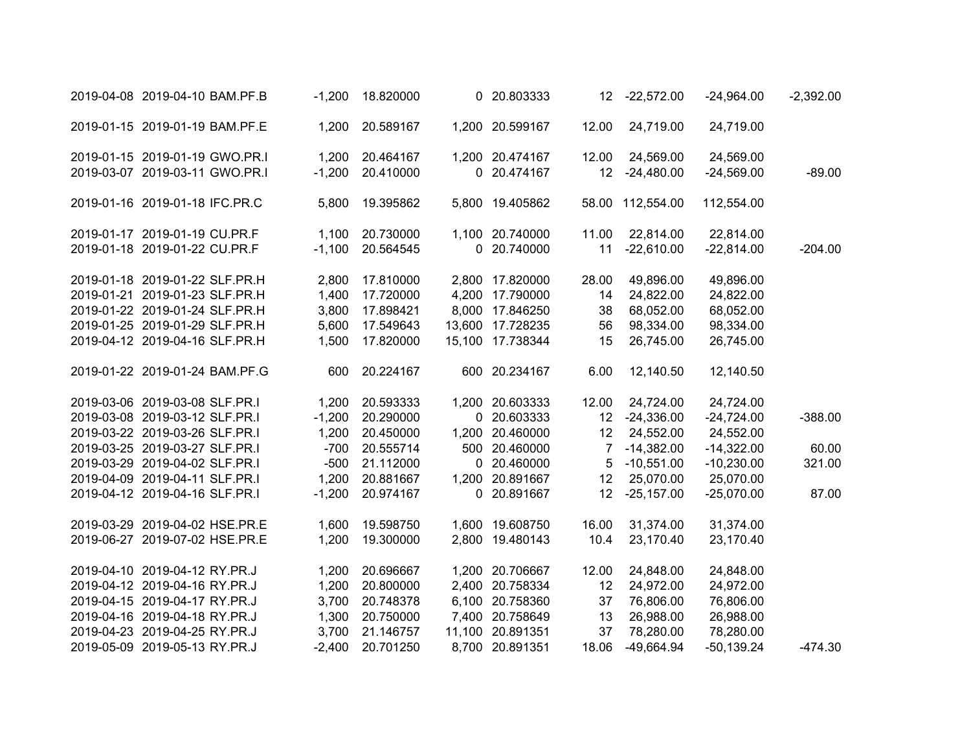| 2019-04-08 2019-04-10 BAM.PF.B | $-1,200$ | 18.820000     | 0 20.803333      | 12              | $-22,572.00$     | $-24,964.00$ | $-2,392.00$ |
|--------------------------------|----------|---------------|------------------|-----------------|------------------|--------------|-------------|
| 2019-01-15 2019-01-19 BAM.PF.E | 1,200    | 20.589167     | 1,200 20.599167  | 12.00           | 24,719.00        | 24,719.00    |             |
| 2019-01-15 2019-01-19 GWO.PR.I | 1,200    | 20.464167     | 1,200 20.474167  | 12.00           | 24,569.00        | 24,569.00    |             |
| 2019-03-07 2019-03-11 GWO.PR.I | $-1,200$ | 20.410000     | 0 20.474167      | 12 <sup>°</sup> | $-24,480.00$     | $-24,569.00$ | $-89.00$    |
| 2019-01-16 2019-01-18 IFC.PR.C | 5,800    | 19.395862     | 5,800 19.405862  |                 | 58.00 112,554.00 | 112,554.00   |             |
| 2019-01-17 2019-01-19 CU.PR.F  | 1,100    | 20.730000     | 1,100 20.740000  | 11.00           | 22,814.00        | 22,814.00    |             |
| 2019-01-18 2019-01-22 CU.PR.F  | $-1,100$ | 20.564545     | 0 20.740000      | 11              | $-22,610.00$     | $-22,814.00$ | $-204.00$   |
| 2019-01-18 2019-01-22 SLF.PR.H | 2,800    | 17.810000     | 2,800 17.820000  | 28.00           | 49,896.00        | 49,896.00    |             |
| 2019-01-21 2019-01-23 SLF.PR.H | 1,400    | 17.720000     | 4,200 17.790000  | 14              | 24,822.00        | 24,822.00    |             |
| 2019-01-22 2019-01-24 SLF.PR.H | 3,800    | 17.898421     | 8,000 17.846250  | 38              | 68,052.00        | 68,052.00    |             |
| 2019-01-25 2019-01-29 SLF.PR.H | 5,600    | 17.549643     | 13,600 17.728235 | 56              | 98,334.00        | 98,334.00    |             |
| 2019-04-12 2019-04-16 SLF.PR.H | 1,500    | 17.820000     | 15,100 17.738344 | 15              | 26,745.00        | 26,745.00    |             |
| 2019-01-22 2019-01-24 BAM.PF.G |          | 600 20.224167 | 600 20.234167    | 6.00            | 12,140.50        | 12,140.50    |             |
| 2019-03-06 2019-03-08 SLF.PR.I | 1,200    | 20.593333     | 1,200 20.603333  | 12.00           | 24,724.00        | 24,724.00    |             |
| 2019-03-08 2019-03-12 SLF.PR.I | $-1,200$ | 20.290000     | 0 20.603333      |                 | 12 -24,336.00    | $-24,724.00$ | $-388.00$   |
| 2019-03-22 2019-03-26 SLF.PR.I | 1,200    | 20.450000     | 1,200 20.460000  | 12              | 24,552.00        | 24,552.00    |             |
| 2019-03-25 2019-03-27 SLF.PR.I | $-700$   | 20.555714     | 500 20.460000    | $\overline{7}$  | $-14,382.00$     | $-14,322.00$ | 60.00       |
| 2019-03-29 2019-04-02 SLF.PR.I | $-500$   | 21.112000     | 0 20.460000      | 5               | $-10,551.00$     | $-10,230.00$ | 321.00      |
| 2019-04-09 2019-04-11 SLF.PR.I | 1,200    | 20.881667     | 1,200 20.891667  | 12              | 25,070.00        | 25,070.00    |             |
| 2019-04-12 2019-04-16 SLF.PR.I | $-1,200$ | 20.974167     | 0 20.891667      | 12 <sup>°</sup> | $-25,157.00$     | $-25,070.00$ | 87.00       |
| 2019-03-29 2019-04-02 HSE.PR.E | 1,600    | 19.598750     | 1,600 19.608750  | 16.00           | 31,374.00        | 31,374.00    |             |
| 2019-06-27 2019-07-02 HSE.PR.E | 1,200    | 19.300000     | 2,800 19.480143  | 10.4            | 23,170.40        | 23,170.40    |             |
| 2019-04-10 2019-04-12 RY.PR.J  | 1,200    | 20.696667     | 1,200 20.706667  | 12.00           | 24,848.00        | 24,848.00    |             |
| 2019-04-12 2019-04-16 RY.PR.J  | 1,200    | 20.800000     | 2,400 20.758334  | 12              | 24,972.00        | 24,972.00    |             |
| 2019-04-15 2019-04-17 RY.PR.J  | 3,700    | 20.748378     | 6,100 20.758360  | 37              | 76,806.00        | 76,806.00    |             |
| 2019-04-16 2019-04-18 RY.PR.J  | 1,300    | 20.750000     | 7,400 20.758649  | 13              | 26,988.00        | 26,988.00    |             |
| 2019-04-23 2019-04-25 RY.PR.J  | 3,700    | 21.146757     | 11,100 20.891351 | 37              | 78,280.00        | 78,280.00    |             |
| 2019-05-09 2019-05-13 RY.PR.J  | $-2,400$ | 20.701250     | 8,700 20.891351  | 18.06           | $-49,664.94$     | $-50,139.24$ | $-474.30$   |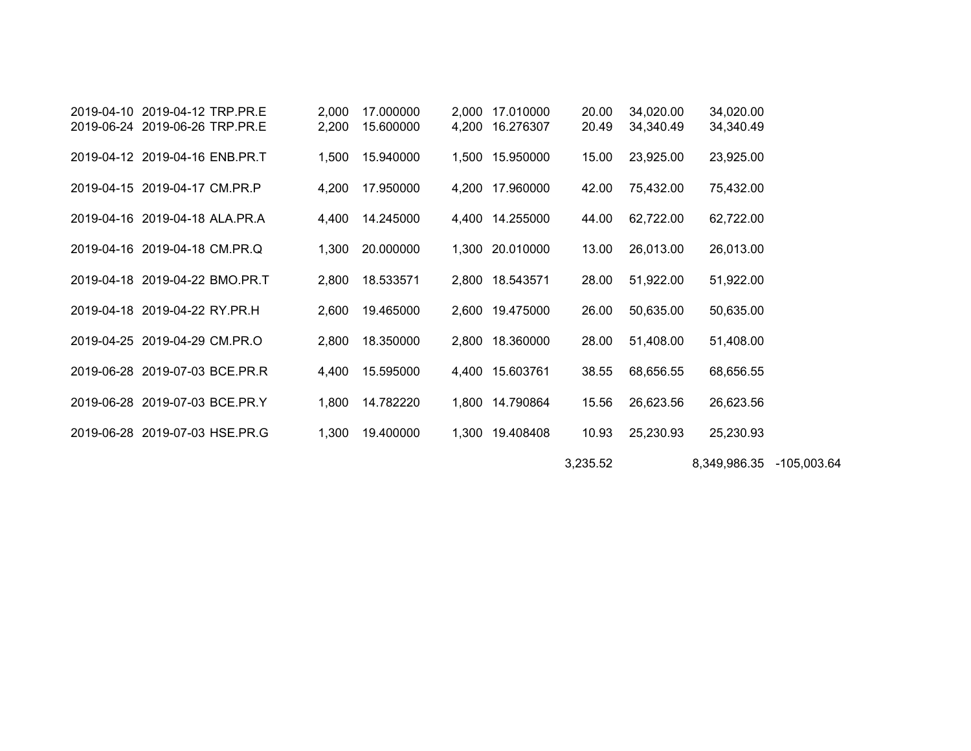| 2019-04-10 2019-04-12 TRP.PR.E | 2,000 | 17.000000 | 2,000 | 17.010000       | 20.00    | 34,020.00 | 34,020.00                |  |
|--------------------------------|-------|-----------|-------|-----------------|----------|-----------|--------------------------|--|
| 2019-06-24 2019-06-26 TRP.PR.E | 2,200 | 15.600000 | 4,200 | 16.276307       | 20.49    | 34,340.49 | 34,340.49                |  |
| 2019-04-12 2019-04-16 ENB.PR.T | 1,500 | 15.940000 | 1,500 | 15.950000       | 15.00    | 23,925.00 | 23,925.00                |  |
| 2019-04-15 2019-04-17 CM.PR.P  | 4,200 | 17.950000 | 4,200 | 17.960000       | 42.00    | 75,432.00 | 75,432.00                |  |
| 2019-04-16 2019-04-18 ALA.PR.A | 4,400 | 14.245000 |       | 4,400 14.255000 | 44.00    | 62,722.00 | 62,722.00                |  |
| 2019-04-16 2019-04-18 CM.PR.Q  | 1,300 | 20.000000 |       | 1,300 20.010000 | 13.00    | 26,013.00 | 26,013.00                |  |
| 2019-04-18 2019-04-22 BMO.PR.T | 2,800 | 18.533571 |       | 2,800 18.543571 | 28.00    | 51,922.00 | 51,922.00                |  |
| 2019-04-18 2019-04-22 RY.PR.H  | 2,600 | 19.465000 |       | 2,600 19.475000 | 26.00    | 50,635.00 | 50,635.00                |  |
| 2019-04-25 2019-04-29 CM.PR.O  | 2,800 | 18.350000 |       | 2,800 18.360000 | 28.00    | 51,408.00 | 51,408.00                |  |
| 2019-06-28 2019-07-03 BCE.PR.R | 4,400 | 15.595000 |       | 4,400 15.603761 | 38.55    | 68,656.55 | 68,656.55                |  |
| 2019-06-28 2019-07-03 BCE.PR.Y | 1,800 | 14.782220 |       | 1,800 14.790864 | 15.56    | 26,623.56 | 26,623.56                |  |
| 2019-06-28 2019-07-03 HSE.PR.G | 1,300 | 19.400000 |       | 1,300 19.408408 | 10.93    | 25,230.93 | 25,230.93                |  |
|                                |       |           |       |                 | 3,235.52 |           | 8,349,986.35 -105,003.64 |  |